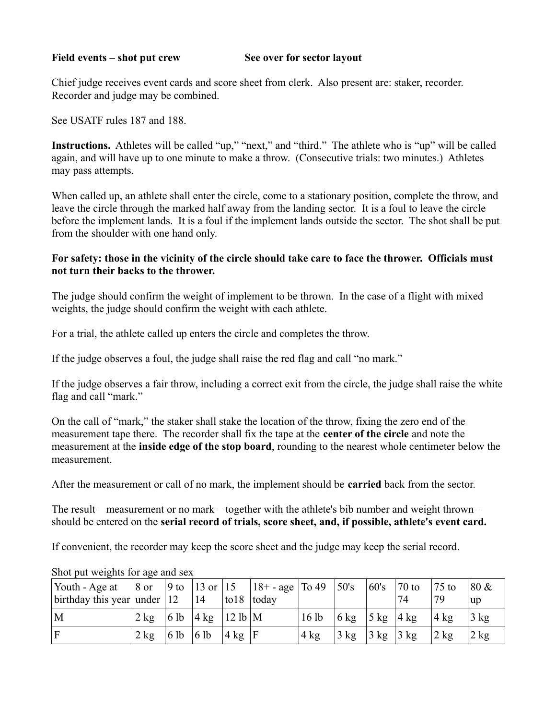### Field events – shot put crew See over for sector layout

Chief judge receives event cards and score sheet from clerk. Also present are: staker, recorder. Recorder and judge may be combined.

See USATF rules 187 and 188.

**Instructions.** Athletes will be called "up," "next," and "third." The athlete who is "up" will be called again, and will have up to one minute to make a throw. (Consecutive trials: two minutes.) Athletes may pass attempts.

When called up, an athlete shall enter the circle, come to a stationary position, complete the throw, and leave the circle through the marked half away from the landing sector. It is a foul to leave the circle before the implement lands. It is a foul if the implement lands outside the sector. The shot shall be put from the shoulder with one hand only.

## **For safety: those in the vicinity of the circle should take care to face the thrower. Officials must not turn their backs to the thrower.**

The judge should confirm the weight of implement to be thrown. In the case of a flight with mixed weights, the judge should confirm the weight with each athlete.

For a trial, the athlete called up enters the circle and completes the throw.

If the judge observes a foul, the judge shall raise the red flag and call "no mark."

If the judge observes a fair throw, including a correct exit from the circle, the judge shall raise the white flag and call "mark."

On the call of "mark," the staker shall stake the location of the throw, fixing the zero end of the measurement tape there. The recorder shall fix the tape at the **center of the circle** and note the measurement at the **inside edge of the stop board**, rounding to the nearest whole centimeter below the measurement.

After the measurement or call of no mark, the implement should be **carried** back from the sector.

The result – measurement or no mark – together with the athlete's bib number and weight thrown – should be entered on the **serial record of trials, score sheet, and, if possible, athlete's event card.**

If convenient, the recorder may keep the score sheet and the judge may keep the serial record.

| Youth - Age at<br>birthday this year under $ 12 $ |                                          |                                                  | 14 |                    | 8 or  9 to  13 or  15   $18 + -$ age   To 49   50's<br>$\log 18$ today |      |                                    | 60's  70 to | 74 | $75$ to<br>79    | $80 \&$<br>up            |
|---------------------------------------------------|------------------------------------------|--------------------------------------------------|----|--------------------|------------------------------------------------------------------------|------|------------------------------------|-------------|----|------------------|--------------------------|
| M                                                 | $2 \text{ kg}$   6 lb   4 kg   12 lb   M |                                                  |    |                    |                                                                        | 16lb | $6 \text{ kg}$ 5 kg $4 \text{ kg}$ |             |    | $ 4 \text{ kg} $ | $\frac{3 \text{ kg}}{2}$ |
| ΙF                                                | $2 \text{ kg}$                           | $\vert 6 \, \vert 6 \, \vert 6 \, \vert 6 \vert$ |    | $ 4 \text{ kg} $ F |                                                                        | 4 kg | $3 \text{ kg}$ 3 kg $3 \text{ kg}$ |             |    | 2 kg             | $\frac{1}{2}$ kg         |

Shot put weights for age and sex